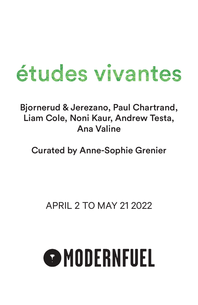## études vivantes

## Bjornerud & Jerezano, Paul Chartrand, Liam Cole, Noni Kaur, Andrew Testa, Ana Valine

Curated by Anne-Sophie Grenier

## APRIL 2 TO MAY 21 2022

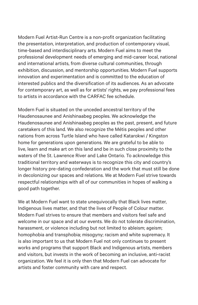Modern Fuel Artist-Run Centre is a non-profit organization facilitating the presentation, interpretation, and production of contemporary visual, time-based and interdisciplinary arts. Modern Fuel aims to meet the professional development needs of emerging and mid-career local, national and international artists, from diverse cultural communities, through exhibition, discussion, and mentorship opportunities. Modern Fuel supports innovation and experimentation and is committed to the education of interested publics and the diversification of its audiences. As an advocate for contemporary art, as well as for artists' rights, we pay professional fees to artists in accordance with the CARFAC fee schedule.

Modern Fuel is situated on the unceded ancestral territory of the Haudenosaunee and Anishinaabeg peoples. We acknowledge the Haudenosaunee and Anishinaabeg peoples as the past, present, and future caretakers of this land. We also recognize the Métis peoples and other nations from across Turtle Island who have called Katarokwi / Kingston home for generations upon generations. We are grateful to be able to live, learn and make art on this land and be in such close proximity to the waters of the St. Lawrence River and Lake Ontario. To acknowledge this traditional territory and waterways is to recognize this city and country's longer history pre-dating confederation and the work that must still be done in decolonizing our spaces and relations. We at Modern Fuel strive towards respectful relationships with all of our communities in hopes of walking a good path together.

We at Modern Fuel want to state unequivocally that Black lives matter, Indigenous lives matter, and that the lives of People of Colour matter. Modern Fuel strives to ensure that members and visitors feel safe and welcome in our space and at our events. We do not tolerate discrimination, harassment, or violence including but not limited to ableism; ageism; homophobia and transphobia; misogyny; racism and white supremacy. It is also important to us that Modern Fuel not only continues to present works and programs that support Black and Indigenous artists, members and visitors, but invests in the work of becoming an inclusive, anti-racist organization. We feel it is only then that Modern Fuel can advocate for artists and foster community with care and respect.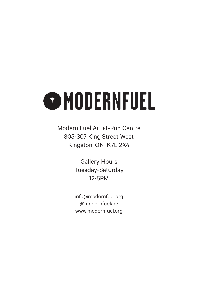# **OMODERNFUEL**

Modern Fuel Artist-Run Centre 305-307 King Street West Kingston, ON K7L 2X4

> Gallery Hours Tuesday-Saturday 12-5PM

> info@modernfuel.org @modernfuelarc www.modernfuel.org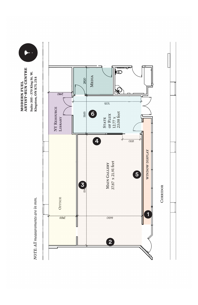

 $\blacktriangleright$ 

NOTE: All measurements are in mm.



CORRIDOR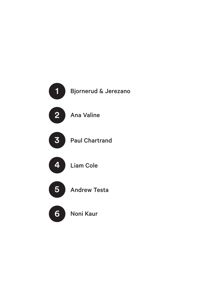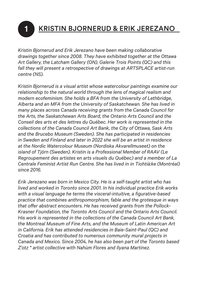## 1 KRISTIN BJORNERUD & ERIK JEREZANO

*Kristin Bjornerud and Erik Jerezano have been making collaborative drawings together since 2008. They have exhibited together at the Ottawa Art Gallery, the Latcham Gallery (ON), Galerie Trois Points (QC) and this*  fall they will present a retrospective of drawings at ARTSPLACE artist-run *centre (NS).*

*Kristin Bjornerud is a visual artist whose watercolour paintings examine our relationship to the natural world through the lens of magical realism and modern ecofeminism. She holds a BFA from the University of Lethbridge, Alberta and an MFA from the University of Saskatchewan. She has lived in many places across Canada receiving grants from the Canada Council for the Arts, the Saskatchewan Arts Board, the Ontario Arts Council and the Conseil des arts et des lettres du Québec. Her work is represented in the collections of the Canada Council Art Bank, the City of Ottawa, Sask Arts and the Brucebo Museum (Sweden). She has participated in residencies in Sweden and Finland and later in 2022 she will be an artist in residence at the Nordic Watercolour Museum (Nordiska Akvarellmuseet) on the island of Tjörn (Sweden). Kristin is a Professional Member of RAAV (Le Regroupement des artistes en arts visuels du Québec) and a member of La Centrale Feminist Artist Run Centre. She has lived in in Tiohtià:ke (Montréal) since 2016.*

*Erik Jerezano was born in Mexico City. He is a self-taught artist who has lived and worked in Toronto since 2001. In his individual practice Erik works with a visual language he terms the visceral-intuitive, a figurative-based practice that combines anthropomorphism, fable and the grotesque in ways that offer abstract encounters. He has received grants from the Pollock-Krasner Foundation, the Toronto Arts Council and the Ontario Arts Council. His work is represented in the collections of the Canada Council Art Bank, the Montreal Museum of Fine Arts, and the Museum of Latin American Art in California. Erik has attended residencies in Baie-Saint-Paul (QC) and Croatia and has contributed to numerous community mural projects in Canada and Mexico. Since 2004, he has also been part of the Toronto based Z'otz \* artist collective with Nahùm Flores and Ilyana Martinez.*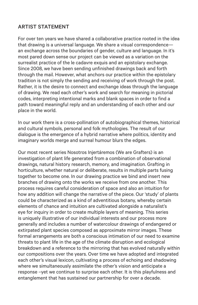#### ARTIST STATEMENT

For over ten years we have shared a collaborative practice rooted in the idea that drawing is a universal language. We share a visual correspondence an exchange across the boundaries of gender, culture and language. In it's most pared down sense our project can be viewed as a variation on the surrealist practice of the le cadavre exquis and an epistolary exchange. Since 2008, we have been sending unfinished drawings back and forth through the mail. However, what anchors our practice within the epistolary tradition is not simply the sending and receiving of work through the post. Rather, it is the desire to connect and exchange ideas through the language of drawing. We read each other's work and search for meaning in pictorial codes, interpreting intentional marks and blank spaces in order to find a path toward meaningful reply and an understanding of each other and our place in the world.

In our work there is a cross-pollination of autobiographical themes, historical and cultural symbols, personal and folk mythologies. The result of our dialogue is the emergence of a hybrid narrative where politics, identity and imaginary worlds merge and surreal humour blurs the edges.

Our most recent series Nosotros Injertáremos (We are Grafters) is an investigation of plant life generated from a combination of observational drawings, natural history research, memory, and imagination. Grafting in horticulture, whether natural or deliberate, results in multiple parts fusing together to become one. In our drawing practice we bind and insert new branches of drawing onto the works we receive from one another. This process requires careful consideration of space and also an intuition for how any addition will change the narrative of the piece. Our 'study' of plants could be characterized as a kind of adventitious botany, whereby certain elements of chance and intuition are cultivated alongside a naturalist's eye for inquiry in order to create multiple layers of meaning. This series is uniquely illustrative of our individual interests and our process more generally and includes a number of watercolour drawings of endangered or extirpated plant species composed as approximate mirror images. These formal arrangements are both a conscious intimation of our need to examine threats to plant life in the age of the climate disruption and ecological breakdown and a reference to the mirroring that has evolved naturally within our compositions over the years. Over time we have adopted and integrated each other's visual lexicon, cultivating a process of echoing and shadowing where we simultaneously assimilate the other's vision and anticipate a response –yet we continue to surprise each other. It is this playfulness and entanglement that has sustained our partnership for over a decade.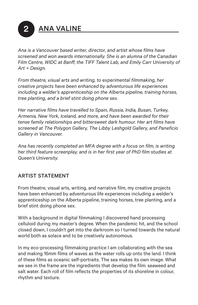**ANA VALINE** 

*Ana is a Vancouver based writer, director, and artist whose films have screened and won awards internationally. She is an alumna of the Canadian Film Centre, WIDC at Banff, the TIFF Talent Lab, and Emily Carr University of Art + Design.*

*From theatre, visual arts and writing, to experimental filmmaking, her creative projects have been enhanced by adventurous life experiences including a welder's apprenticeship on the Alberta pipeline, training horses, tree planting, and a brief stint doing phone sex.* 

*Her narrative films have travelled to Spain, Russia, India, Busan, Turkey, Armenia, New York, Iceland, and more, and have been awarded for their tense family relationships and bittersweet dark humour. Her art films have screened at The Polygon Gallery, The Libby Leshgold Gallery, and Paneficio Gallery in Vancouver.*

*Ana has recently completed an MFA degree with a focus on film, is writing her third feature screenplay, and is in her first year of PhD film studies at Queen's University.*

### ARTIST STATEMENT

From theatre, visual arts, writing, and narrative film, my creative projects have been enhanced by adventurous life experiences including a welder's apprenticeship on the Alberta pipeline, training horses, tree planting, and a brief stint doing phone sex.

With a background in digital filmmaking I discovered hand processing celluloid during my master's degree. When the pandemic hit, and the school closed down, I couldn't get into the darkroom so I turned towards the natural world both as solace and to be creatively autonomous.

In my eco-processing filmmaking practice I am collaborating with the sea and making 16mm films of waves as the water rolls up onto the land. I think of these films as oceanic self-portraits. The sea makes its own image. What we see in the frame are the ingredients that develop the film: seaweed and salt water. Each roll of film reflects the properties of its shoreline in colour, rhythm and texture.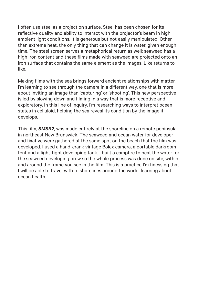I often use steel as a projection surface. Steel has been chosen for its reflective quality and ability to interact with the projector's beam in high ambient light conditions. It is generous but not easily manipulated. Other than extreme heat, the only thing that can change it is water, given enough time. The steel screen serves a metaphorical return as well: seaweed has a high iron content and these films made with seaweed are projected onto an iron surface that contains the same element as the images. Like returns to like.

Making films with the sea brings forward ancient relationships with matter. I'm learning to see through the camera in a different way, one that is more about inviting an image than 'capturing' or 'shooting'. This new perspective is led by slowing down and filming in a way that is more receptive and exploratory. In this line of inquiry, I'm researching ways to interpret ocean states in celluloid, helping the sea reveal its condition by the image it develops.

This film, *SMSR2*, was made entirely at the shoreline on a remote peninsula in northeast New Brunswick. The seaweed and ocean water for developer and fixative were gathered at the same spot on the beach that the film was developed. I used a hand-crank vintage Bolex camera, a portable darkroom tent and a light-tight developing tank. I built a campfire to heat the water for the seaweed developing brew so the whole process was done on site, within and around the frame you see in the film. This is a practice I'm finessing that I will be able to travel with to shorelines around the world, learning about ocean health.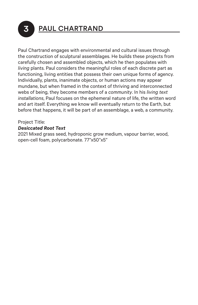

## 3 PAUL CHARTRAND

Paul Chartrand engages with environmental and cultural issues through the construction of sculptural assemblages. He builds these projects from carefully chosen and assembled objects, which he then populates with *living* plants. Paul considers the meaningful roles of each discrete part as functioning, living entities that possess their own unique forms of agency. Individually, plants, inanimate objects, or human actions may appear mundane, but when framed in the context of thriving and interconnected webs of being, they become members of a *community*. In his *living text installations*, Paul focuses on the ephemeral nature of life, the written word and art itself. Everything we know will eventually return to the Earth, but before that happens, it will be part of an assemblage, a web, a community.

#### Project Title:

#### *Desiccated Root Text*

2021 Mixed grass seed, hydroponic grow medium, vapour barrier, wood, open-cell foam, polycarbonate. 77"x50"x5"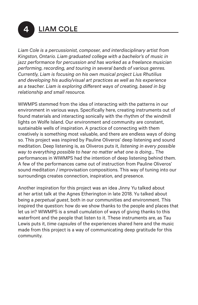**LIAM COLE** 

*Liam Cole is a percussionist, composer, and interdisciplinary artist from Kingston, Ontario. Liam graduated college with a bachelor's of music in jazz performance for percussion and has worked as a freelance musician performing, recording, and touring in several bands of various genres. Currently, Liam is focusing on his own musical project Lius Rhutilius and developing his audio/visual art practices as well as his experience as a teacher. Liam is exploring different ways of creating, based in big relationship and small resource.*

WIWMPS stemmed from the idea of interacting with the patterns in our environment in various ways. Specifically here, creating instruments out of found materials and interacting sonically with the rhythm of the windmill lights on Wolfe Island. Our environment and community are constant, sustainable wells of inspiration. A practice of connecting with them creatively is something most valuable, and there are endless ways of doing so. This project was inspired by Pauline Oliveros' deep listening and sound meditation. Deep listening is, as Oliveros puts it, *listening in every possible way to everything possible to hear no matter what one is doing...* The performances in WIWMPS had the intention of deep listening behind them. A few of the performances came out of instruction from Pauline Oliveros' sound meditation / improvisation compositions. This way of tuning into our surroundings creates connection, inspiration, and presence.

Another inspiration for this project was an idea Jinny Yu talked about at her artist talk at the Agnes Etherington in late 2018. Yu talked about being a *perpetual guest*, both in our communities and environment. This inspired the question: how do we show thanks to the people and places that let us in? WIWMPS is a small cumulation of ways of giving thanks to this waterfront and the people that listen to it. These instruments are, as Tau Lewis puts it, *time capsules* of the experiences shared here and the music made from this project is a way of communicating deep gratitude for this community.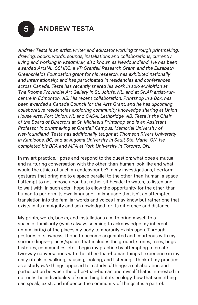## 5 ANDREW TESTA

*Andrew Testa is an artist, writer and educator working through printmaking, drawing, books, words, sounds, installations and collaborations, currently living and working in Ktaqmkuk, also known as Newfoundland. He has been awarded ArtsNL, SSHRC, a VP Grenfell Research Grant, and the Elizabeth Greenshields Foundation grant for his research, has exhibited nationally and internationally, and has participated in residencies and conferences across Canada. Testa has recently shared his work in solo exhibition at The Rooms Provincial Art Gallery in St. John's, NL, and at SNAP artist-runcentre in Edmonton, AB. His recent collaboration, Printshop in a Box, has been awarded a Canada Council for the Arts Grant, and he has upcoming collaborative residencies exploring community knowledge sharing at Union House Arts, Port Union, NL and CASA, Lethbridge, AB. Testa is the Chair of the Board of Directors at St. Michael's Printshop and is an Assistant Professor in printmaking at Grenfell Campus, Memorial University of Newfoundland. Testa has additionally taught at Thomson Rivers University in Kamloops, BC, and at Algoma University in Sault Ste. Marie, ON. He completed his BFA and MFA at York University in Toronto, ON.*

In my art practice, I pose and respond to the question: what does a mutual and nurturing conversation with the other-than-human look like and what would the ethics of such an endeavour be? In my investigations, I perform gestures that bring me to a space parallel to the other-than-human, a space I attempt to not impose upon but rather sit beside: to watch, to listen and to wait with. In such acts I hope to allow the opportunity for the other-thanhuman to perform its own language—a language that isn't an attempted translation into the familiar words and voices I may know but rather one that exists in its ambiguity and acknowledged for its difference and distance.

My prints, words, books, and installations aim to bring myself to a space of familiarity (while always seeming to acknowledge my inherent unfamiliarity) of the places my body temporarily exists upon. Through gestures of slowness, I hope to become acquainted and courteous with my surroundings—places/spaces that includes the ground, stones, trees, bugs, histories, communities, etc. I begin my practice by attempting to create two-way conversations with the other-than-human things I experience in my daily rituals of walking, pausing, looking, and listening. I think of my practice as a study *with* things opposed to a study *of* things: a collaboration and participation between the other-than-human and myself that is interested in not only the individuality of something but its ecology, how that something can speak, exist, and influence the community of things it is a part of.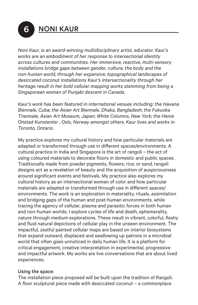6 NONI KAUR

*Noni Kaur, is an award-winning multidisciplinary artist, educator. Kaur's works are an embodiment of her response to intersectional identity across cultures and communities. Her immersive, reactive, multi-sensory installations bridge gaps between gender, culture, the body and the non-human world, through her expansive, topographical landscapes of desiccated coconut installations Kaur's intersectionality through her heritage result in her bold cellular mapping works stemming from being a Singaporean woman of Punjabi descent in Canada.*

*Kaur's work has been featured in international venues including: the Havana Biennale, Cuba; the Asian Art Biennale, Dhaka, Bangladesh; the Fukuoka Triennale, Asian Art Museum, Japan; White Columns, New York; the Henie Onstad Kunstenter , Oslo, Norway amongst others. Kaur lives and works in Toronto, Ontario.*

My practice explores my cultural history and how particular materials are adapted or transformed through use in different spaces/environments. A cultural practice in India and Singapore is the art of rangoli – the act of using coloured materials to decorate floors in domestic and public spaces. Traditionally made from powder pigments, flowers, rice, or sand, rangoli designs act as a revelation of beauty and the acquisition of auspiciousness around significant events and festivals. My practice also explores my cultural history as an intersectional woman of color and how particular materials are adapted or transformed through use in different spaces/ environments. The work is an exploration in materiality, rituals, assimilation and bridging gaps of the human and post-human environments. while tracing the agency of cellular, plasma and parasitic forces in both human and non-human worlds. I explore cycles of life and death, ephemerality, nature through medium explorations. These result in vibrant, colorful, fleshy and fluid natural depictions of cellular play in the unseen environment. The impactful, zestful painted cellular maps are based on interior biosystems that expand outward, displaced and swallowing up patrons in a microbial world that often goes unnoticed in daily human life. It is a platform for critical engagement, creative interpretation in experimental, progressive and impactful artwork. My works are live conversations that are about lived experiences.

#### Using the space:

The installation piece proposed will be built upon the tradition of Rangoli. A floor sculptural piece made with desiccated coconut – a commonplace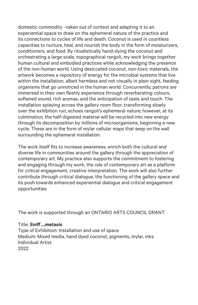domestic commodity –taken out of context and adapting it to an experiential space to draw on the ephemeral nature of the practice and its connections to cycles of life and death. Coconut is used in countless capacities to nurture, heal, and nourish the body in the form of moisturizers, conditioners, and food. By ritualistically hand-dying the coconut and orchestrating a large scale, topographical rangoli, my work brings together human cultural and embodied practices while acknowledging the presence of the non-human world. Using desiccated coconut, non-toxic materials, the artwork becomes a repository of energy for the microbial systems that live within the installation, albeit harmless and not visually in plain sight, feeding organisms that go unnoticed in the human world. Concurrently, patrons are immersed in their own fleshly experience through reverberating colours, softened sound, rich aromas, and the anticipation of taste and touch. The installation splaying across the gallery room floor, transforming slowly over the exhibition run, echoes rangoli's ephemeral nature; however, at its culmination, the half-digested material will be recycled into new energy through its decomposition by millions of microorganisms, beginning a new cycle. These are in the form of mylar cellular maps that seep on the wall surrounding the ephemeral installation.

The work itself fits to increase awareness, enrich both the cultural and diverse life in communities around the gallery through the appreciation of contemporary art. My practice also supports the commitment to fostering and engaging through my work, the role of contemporary art as a platform for critical engagement, creative interpretation. The work will also further contribute through critical dialogue, the functioning of the gallery space and its push towards enhanced experiential dialogue and critical engagement opportunities.

The work is supported through an ONTARIO ARTS COUNCIL GRANT.

#### Title: *Sniff …metasis*

Type of Exhibition: Installation and use of space Medium: Mixed media, hand dyed coconut, pigments, mylar, inks Individual Artist 2022